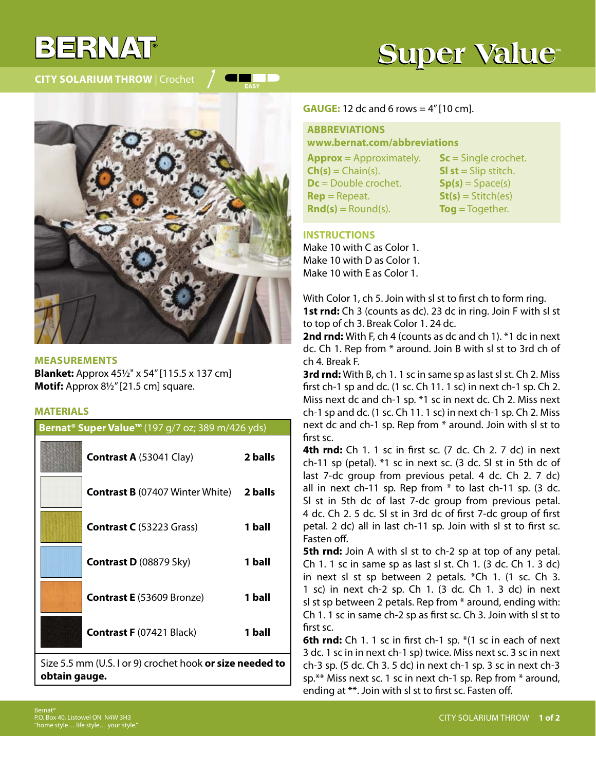## $377/24$

**City Solarium Throw** | Crochet

## **Super Value**



a katika T

**MEASUREMENTS Blanket:** Approx 45½" x 54" [115.5 x 137 cm] **Motif:** Approx 8½" [21.5 cm] square.

## **MATERIALS**

| Bernat <sup>®</sup> Super Value <sup>™</sup> (197 g/7 oz; 389 m/426 yds) |         |
|--------------------------------------------------------------------------|---------|
| <b>Contrast A (53041 Clay)</b>                                           | 2 balls |
| <b>Contrast B</b> (07407 Winter White)                                   | 2 balls |
| <b>Contrast C</b> (53223 Grass)                                          | 1 ball  |
| Contrast D (08879 Sky)                                                   | 1 ball  |
| <b>Contrast E</b> (53609 Bronze)                                         | 1 ball  |
| <b>Contrast F (07421 Black)</b>                                          | 1 ball  |
| $\frac{1}{2}$ $\sqrt{5}$ 5 mm (IIS Lor 0) crochot hook are ize needed to |         |

Size 5.5 mm (U.S. I or 9) crochet hook **or size needed to obtain gauge.**

#### **GAUGE:** 12 dc and 6 rows = 4" [10 cm].

**ABBREVIATIONS www.bernat.com/abbreviations**

**Approx** = Approximately.  $Ch(s) = Chain(s)$ . **Dc** = Double crochet. **Rep** = Repeat.  $\text{Rnd}(s) = \text{Round}(s)$ .

**Sc** = Single crochet. **Sl st** = Slip stitch.  $Sp(s) = Space(s)$ **St(s)** = Stitch(es) **Tog** = Together.

### **INSTRUCTIONS**

Make 10 with C as Color 1. Make 10 with D as Color 1. Make 10 with E as Color 1.

With Color 1, ch 5. Join with sl st to first ch to form ring. **1st rnd:** Ch 3 (counts as dc). 23 dc in ring. Join F with sl st to top of ch 3. Break Color 1. 24 dc.

**2nd rnd:** With F, ch 4 (counts as dc and ch 1). \*1 dc in next dc. Ch 1. Rep from \* around. Join B with sl st to 3rd ch of ch 4. Break F.

**3rd rnd:** With B, ch 1. 1 sc in same sp as last sl st. Ch 2. Miss first ch-1 sp and dc. (1 sc. Ch 11. 1 sc) in next ch-1 sp. Ch 2. Miss next dc and ch-1 sp. \*1 sc in next dc. Ch 2. Miss next ch-1 sp and dc. (1 sc. Ch 11. 1 sc) in next ch-1 sp. Ch 2. Miss next dc and ch-1 sp. Rep from \* around. Join with sl st to first sc.

**4th rnd:** Ch 1. 1 sc in first sc. (7 dc. Ch 2. 7 dc) in next ch-11 sp (petal). \*1 sc in next sc. (3 dc. Sl st in 5th dc of last 7-dc group from previous petal. 4 dc. Ch 2. 7 dc) all in next ch-11 sp. Rep from  $*$  to last ch-11 sp. (3 dc. Sl st in 5th dc of last 7-dc group from previous petal. 4 dc. Ch 2. 5 dc. Sl st in 3rd dc of first 7-dc group of first petal. 2 dc) all in last ch-11 sp. Join with sl st to first sc. Fasten off.

**5th rnd:** Join A with sl st to ch-2 sp at top of any petal. Ch 1. 1 sc in same sp as last sl st. Ch 1. (3 dc. Ch 1. 3 dc) in next sl st sp between 2 petals. \*Ch 1. (1 sc. Ch 3. 1 sc) in next ch-2 sp. Ch 1. (3 dc. Ch 1. 3 dc) in next sl st sp between 2 petals. Rep from \* around, ending with: Ch 1. 1 sc in same ch-2 sp as first sc. Ch 3. Join with sl st to first sc.

**6th rnd:** Ch 1. 1 sc in first ch-1 sp. \*(1 sc in each of next 3 dc. 1 sc in in next ch-1 sp) twice. Miss next sc. 3 sc in next ch-3 sp. (5 dc. Ch 3. 5 dc) in next ch-1 sp. 3 sc in next ch-3 sp.\*\* Miss next sc. 1 sc in next ch-1 sp. Rep from \* around, ending at \*\*. Join with sl st to first sc. Fasten off.